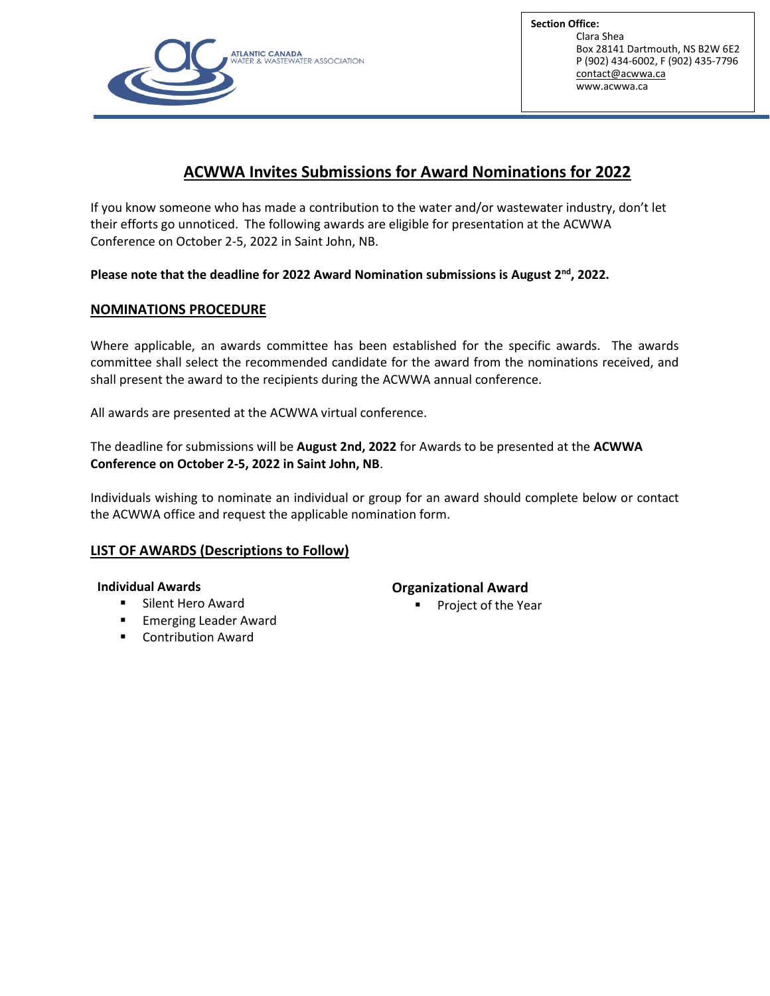

**Section Office:** Clara Shea Box 28141 Dartmouth, NS B2W 6E2 P (902) 434-6002, F (902) 435-7796 [contact@acwwa.ca](mailto:contact@acwwa.ca) www.acwwa.ca

# **ACWWA Invites Submissions for Award Nominations for 2022**

If you know someone who has made a contribution to the water and/or wastewater industry, don't let their efforts go unnoticed. The following awards are eligible for presentation at the ACWWA Conference on October 2-5, 2022 in Saint John, NB.

## **Please note that the deadline for 2022 Award Nomination submissions is August 2nd , 2022.**

## **NOMINATIONS PROCEDURE**

Where applicable, an awards committee has been established for the specific awards. The awards committee shall select the recommended candidate for the award from the nominations received, and shall present the award to the recipients during the ACWWA annual conference.

All awards are presented at the ACWWA virtual conference.

The deadline for submissions will be **August 2nd, 2022** for Awards to be presented at the **ACWWA Conference on October 2-5, 2022 in Saint John, NB**.

Individuals wishing to nominate an individual or group for an award should complete below or contact the ACWWA office and request the applicable nomination form.

## **LIST OF AWARDS (Descriptions to Follow)**

#### **Individual Awards**

- **Silent Hero Award**
- **Emerging Leader Award**
- Contribution Award

## **Organizational Award**

Project of the Year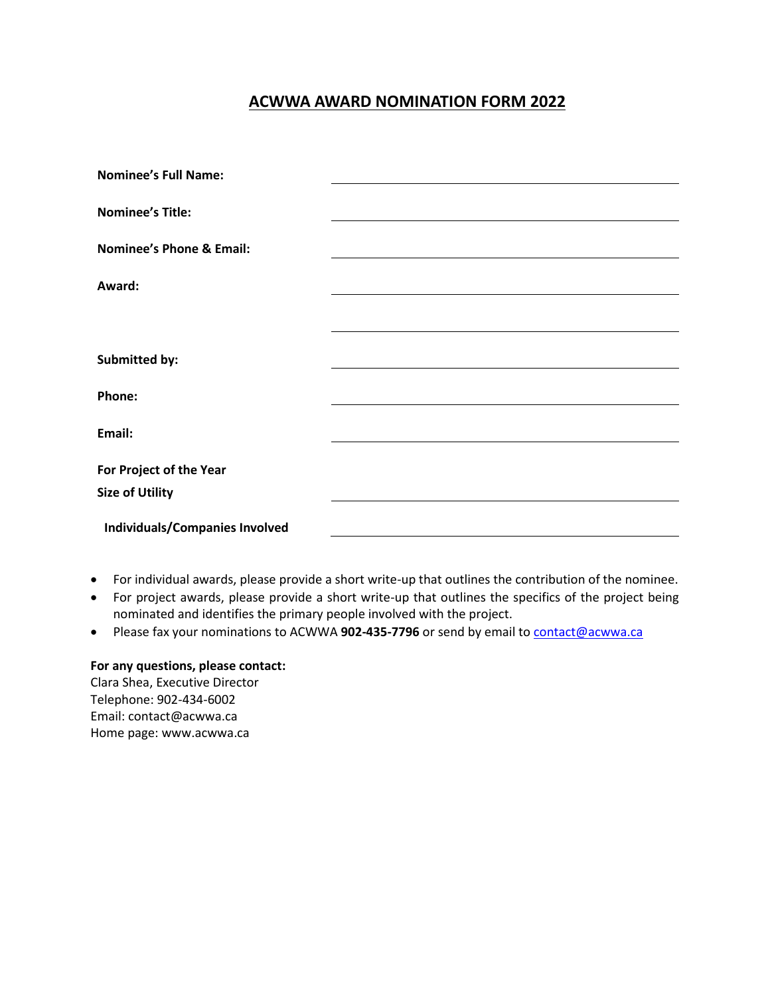## **ACWWA AWARD NOMINATION FORM 2022**

| <b>Nominee's Full Name:</b>           |  |
|---------------------------------------|--|
|                                       |  |
| <b>Nominee's Title:</b>               |  |
| <b>Nominee's Phone &amp; Email:</b>   |  |
|                                       |  |
| Award:                                |  |
|                                       |  |
|                                       |  |
| Submitted by:                         |  |
| Phone:                                |  |
|                                       |  |
| Email:                                |  |
| For Project of the Year               |  |
| <b>Size of Utility</b>                |  |
| <b>Individuals/Companies Involved</b> |  |
|                                       |  |

- For individual awards, please provide a short write-up that outlines the contribution of the nominee.
- For project awards, please provide a short write-up that outlines the specifics of the project being nominated and identifies the primary people involved with the project.
- Please fax your nominations to ACWWA 902-435-7796 or send by email to **contact@acwwa.ca**

### **For any questions, please contact:**

Clara Shea, Executive Director Telephone: 902-434-6002 Email: contact@acwwa.ca Home page: www.acwwa.ca